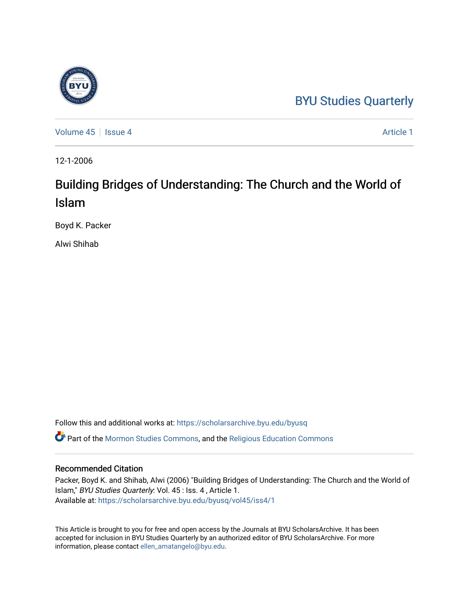## [BYU Studies Quarterly](https://scholarsarchive.byu.edu/byusq)

[Volume 45](https://scholarsarchive.byu.edu/byusq/vol45) | [Issue 4](https://scholarsarchive.byu.edu/byusq/vol45/iss4) Article 1

12-1-2006

# Building Bridges of Understanding: The Church and the World of Islam

Boyd K. Packer

Alwi Shihab

Follow this and additional works at: [https://scholarsarchive.byu.edu/byusq](https://scholarsarchive.byu.edu/byusq?utm_source=scholarsarchive.byu.edu%2Fbyusq%2Fvol45%2Fiss4%2F1&utm_medium=PDF&utm_campaign=PDFCoverPages)  Part of the [Mormon Studies Commons](http://network.bepress.com/hgg/discipline/1360?utm_source=scholarsarchive.byu.edu%2Fbyusq%2Fvol45%2Fiss4%2F1&utm_medium=PDF&utm_campaign=PDFCoverPages), and the [Religious Education Commons](http://network.bepress.com/hgg/discipline/1414?utm_source=scholarsarchive.byu.edu%2Fbyusq%2Fvol45%2Fiss4%2F1&utm_medium=PDF&utm_campaign=PDFCoverPages) 

### Recommended Citation

Packer, Boyd K. and Shihab, Alwi (2006) "Building Bridges of Understanding: The Church and the World of Islam," BYU Studies Quarterly: Vol. 45 : Iss. 4 , Article 1. Available at: [https://scholarsarchive.byu.edu/byusq/vol45/iss4/1](https://scholarsarchive.byu.edu/byusq/vol45/iss4/1?utm_source=scholarsarchive.byu.edu%2Fbyusq%2Fvol45%2Fiss4%2F1&utm_medium=PDF&utm_campaign=PDFCoverPages)

This Article is brought to you for free and open access by the Journals at BYU ScholarsArchive. It has been accepted for inclusion in BYU Studies Quarterly by an authorized editor of BYU ScholarsArchive. For more information, please contact [ellen\\_amatangelo@byu.edu.](mailto:ellen_amatangelo@byu.edu)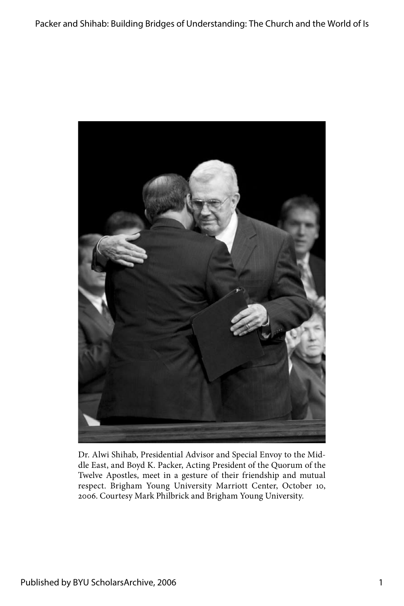

Dr. Alwi Shihab, Presidential Advisor and Special Envoy to the Middle East, and Boyd K. Packer, Acting President of the Quorum of the Twelve Apostles, meet in a gesture of their friendship and mutual respect. Brigham Young University Marriott Center, October 10, 2006. Courtesy Mark Philbrick and Brigham Young University.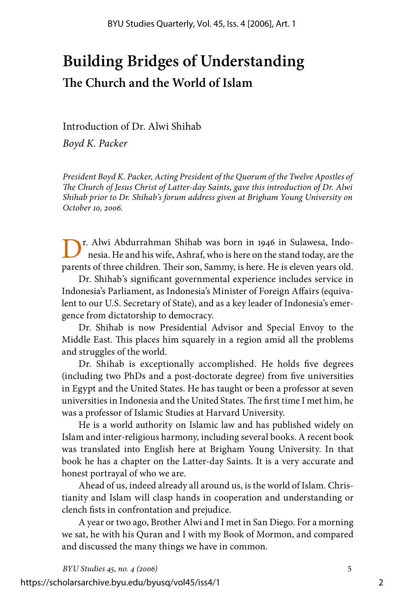## **Building Bridges of Understanding The Church and the World of Islam**

Introduction of Dr. Alwi Shihab

*Boyd K. Packer*

*President Boyd K. Packer, Acting President of the Quorum of the Twelve Apostles of The Church of Jesus Christ of Latter-day Saints, gave this introduction of Dr. Alwi Shihab prior to Dr. Shihab's forum address given at Brigham Young University on October 10, 2006.*

r. Alwi Abdurrahman Shihab was born in 1946 in Sulawesa, Indonesia. He and his wife, Ashraf, who is here on the stand today, are the parents of three children. Their son, Sammy, is here. He is eleven years old.

Dr. Shihab's significant governmental experience includes service in Indonesia's Parliament, as Indonesia's Minister of Foreign Affairs (equivalent to our U.S. Secretary of State), and as a key leader of Indonesia's emergence from dictatorship to democracy.

Dr. Shihab is now Presidential Advisor and Special Envoy to the Middle East. This places him squarely in a region amid all the problems and struggles of the world.

Dr. Shihab is exceptionally accomplished. He holds five degrees (including two PhDs and a post-doctorate degree) from five universities in Egypt and the United States. He has taught or been a professor at seven universities in Indonesia and the United States. The first time I met him, he was a professor of Islamic Studies at Harvard University.

He is a world authority on Islamic law and has published widely on Islam and inter-religious harmony, including several books. A recent book was translated into English here at Brigham Young University. In that book he has a chapter on the Latter-day Saints. It is a very accurate and honest portrayal of who we are.

Ahead of us, indeed already all around us, is the world of Islam. Christianity and Islam will clasp hands in cooperation and understanding or clench fists in confrontation and prejudice.

A year or two ago, Brother Alwi and I met in San Diego. For a morning we sat, he with his Quran and I with my Book of Mormon, and compared and discussed the many things we have in common.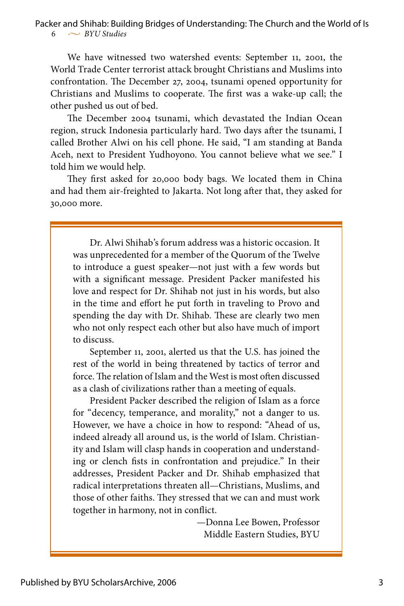$6 \sim$  *BYU Studies* Packer and Shihab: Building Bridges of Understanding: The Church and the World of Is

We have witnessed two watershed events: September 11, 2001, the World Trade Center terrorist attack brought Christians and Muslims into confrontation. The December 27, 2004, tsunami opened opportunity for Christians and Muslims to cooperate. The first was a wake-up call; the other pushed us out of bed.

The December 2004 tsunami, which devastated the Indian Ocean region, struck Indonesia particularly hard. Two days after the tsunami, I called Brother Alwi on his cell phone. He said, "I am standing at Banda Aceh, next to President Yudhoyono. You cannot believe what we see." I told him we would help.

They first asked for 20,000 body bags. We located them in China and had them air-freighted to Jakarta. Not long after that, they asked for 30,000 more.

Dr. Alwi Shihab's forum address was a historic occasion. It was unprecedented for a member of the Quorum of the Twelve to introduce a guest speaker—not just with a few words but with a significant message. President Packer manifested his love and respect for Dr. Shihab not just in his words, but also in the time and effort he put forth in traveling to Provo and spending the day with Dr. Shihab. These are clearly two men who not only respect each other but also have much of import to discuss.

September 11, 2001, alerted us that the U.S. has joined the rest of the world in being threatened by tactics of terror and force. The relation of Islam and the West is most often discussed as a clash of civilizations rather than a meeting of equals.

President Packer described the religion of Islam as a force for "decency, temperance, and morality," not a danger to us. However, we have a choice in how to respond: "Ahead of us, indeed already all around us, is the world of Islam. Christianity and Islam will clasp hands in cooperation and understanding or clench fists in confrontation and prejudice." In their addresses, President Packer and Dr. Shihab emphasized that radical interpretations threaten all—Christians, Muslims, and those of other faiths. They stressed that we can and must work together in harmony, not in conflict.

> —Donna Lee Bowen, Professor Middle Eastern Studies, BYU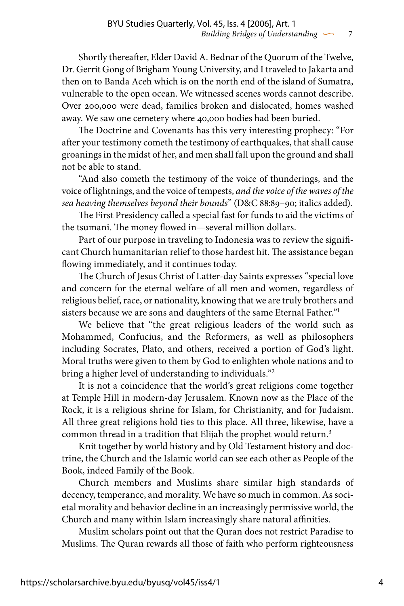Shortly thereafter, Elder David A. Bednar of the Quorum of the Twelve, Dr. Gerrit Gong of Brigham Young University, and I traveled to Jakarta and then on to Banda Aceh which is on the north end of the island of Sumatra, vulnerable to the open ocean. We witnessed scenes words cannot describe. Over 200,000 were dead, families broken and dislocated, homes washed away. We saw one cemetery where 40,000 bodies had been buried.

The Doctrine and Covenants has this very interesting prophecy: "For after your testimony cometh the testimony of earthquakes, that shall cause groanings in the midst of her, and men shall fall upon the ground and shall not be able to stand.

"And also cometh the testimony of the voice of thunderings, and the voice of lightnings, and the voice of tempests, *and the voice of the waves of the sea heaving themselves beyond their bounds*" (D&C 88:89–90; italics added).

The First Presidency called a special fast for funds to aid the victims of the tsumani. The money flowed in—several million dollars.

Part of our purpose in traveling to Indonesia was to review the significant Church humanitarian relief to those hardest hit. The assistance began flowing immediately, and it continues today.

The Church of Jesus Christ of Latter-day Saints expresses "special love and concern for the eternal welfare of all men and women, regardless of religious belief, race, or nationality, knowing that we are truly brothers and sisters because we are sons and daughters of the same Eternal Father."<sup>1</sup>

We believe that "the great religious leaders of the world such as Mohammed, Confucius, and the Reformers, as well as philosophers including Socrates, Plato, and others, received a portion of God's light. Moral truths were given to them by God to enlighten whole nations and to bring a higher level of understanding to individuals."2

It is not a coincidence that the world's great religions come together at Temple Hill in modern-day Jerusalem. Known now as the Place of the Rock, it is a religious shrine for Islam, for Christianity, and for Judaism. All three great religions hold ties to this place. All three, likewise, have a common thread in a tradition that Elijah the prophet would return.<sup>3</sup>

Knit together by world history and by Old Testament history and doctrine, the Church and the Islamic world can see each other as People of the Book, indeed Family of the Book.

Church members and Muslims share similar high standards of decency, temperance, and morality. We have so much in common. As societal morality and behavior decline in an increasingly permissive world, the Church and many within Islam increasingly share natural affinities.

Muslim scholars point out that the Quran does not restrict Paradise to Muslims. The Quran rewards all those of faith who perform righteousness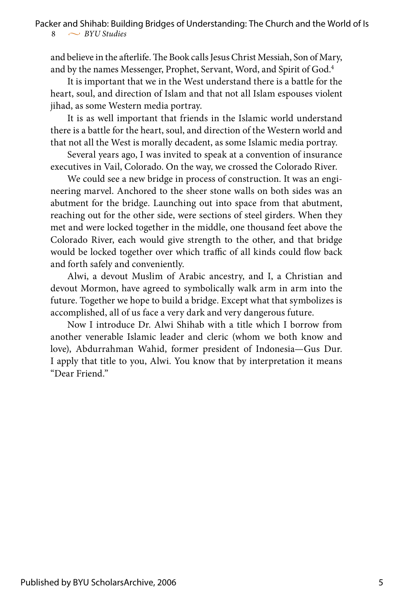and believe in the afterlife. The Book calls Jesus Christ Messiah, Son of Mary, and by the names Messenger, Prophet, Servant, Word, and Spirit of God.<sup>4</sup>

It is important that we in the West understand there is a battle for the heart, soul, and direction of Islam and that not all Islam espouses violent jihad, as some Western media portray.

It is as well important that friends in the Islamic world understand there is a battle for the heart, soul, and direction of the Western world and that not all the West is morally decadent, as some Islamic media portray.

Several years ago, I was invited to speak at a convention of insurance executives in Vail, Colorado. On the way, we crossed the Colorado River.

We could see a new bridge in process of construction. It was an engineering marvel. Anchored to the sheer stone walls on both sides was an abutment for the bridge. Launching out into space from that abutment, reaching out for the other side, were sections of steel girders. When they met and were locked together in the middle, one thousand feet above the Colorado River, each would give strength to the other, and that bridge would be locked together over which traffic of all kinds could flow back and forth safely and conveniently.

Alwi, a devout Muslim of Arabic ancestry, and I, a Christian and devout Mormon, have agreed to symbolically walk arm in arm into the future. Together we hope to build a bridge. Except what that symbolizes is accomplished, all of us face a very dark and very dangerous future.

Now I introduce Dr. Alwi Shihab with a title which I borrow from another venerable Islamic leader and cleric (whom we both know and love), Abdurrahman Wahid, former president of Indonesia—Gus Dur. I apply that title to you, Alwi. You know that by interpretation it means "Dear Friend."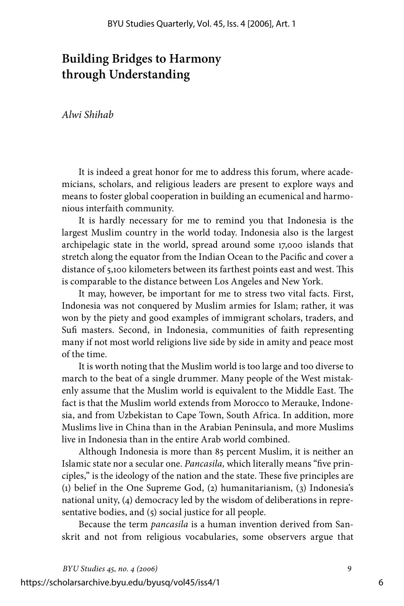### **Building Bridges to Harmony through Understanding**

### *Alwi Shihab*

It is indeed a great honor for me to address this forum, where academicians, scholars, and religious leaders are present to explore ways and means to foster global cooperation in building an ecumenical and harmonious interfaith community.

It is hardly necessary for me to remind you that Indonesia is the largest Muslim country in the world today. Indonesia also is the largest archipelagic state in the world, spread around some 17,000 islands that stretch along the equator from the Indian Ocean to the Pacific and cover a distance of 5,100 kilometers between its farthest points east and west. This is comparable to the distance between Los Angeles and New York.

It may, however, be important for me to stress two vital facts. First, Indonesia was not conquered by Muslim armies for Islam; rather, it was won by the piety and good examples of immigrant scholars, traders, and Sufi masters. Second, in Indonesia, communities of faith representing many if not most world religions live side by side in amity and peace most of the time.

It is worth noting that the Muslim world is too large and too diverse to march to the beat of a single drummer. Many people of the West mistakenly assume that the Muslim world is equivalent to the Middle East. The fact is that the Muslim world extends from Morocco to Merauke, Indonesia, and from Uzbekistan to Cape Town, South Africa. In addition, more Muslims live in China than in the Arabian Peninsula, and more Muslims live in Indonesia than in the entire Arab world combined.

Although Indonesia is more than 85 percent Muslim, it is neither an Islamic state nor a secular one. *Pancasila,* which literally means "five principles," is the ideology of the nation and the state. These five principles are (1) belief in the One Supreme God, (2) humanitarianism, (3) Indonesia's national unity, (4) democracy led by the wisdom of deliberations in representative bodies, and (5) social justice for all people.

Because the term *pancasila* is a human invention derived from Sanskrit and not from religious vocabularies, some observers argue that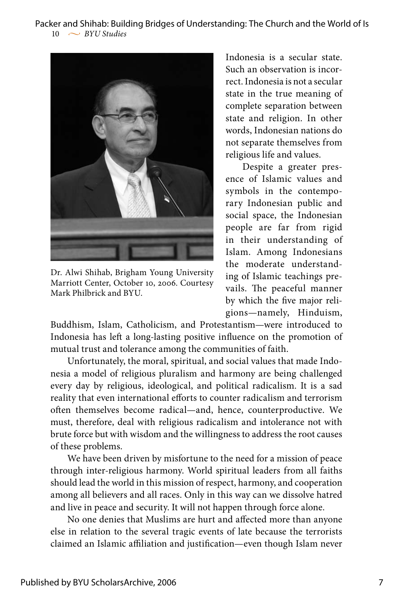

Dr. Alwi Shihab, Brigham Young University Marriott Center, October 10, 2006. Courtesy Mark Philbrick and BYU.

Indonesia is a secular state. Such an observation is incorrect. Indonesia is not a secular state in the true meaning of complete separation between state and religion. In other words, Indonesian nations do not separate themselves from religious life and values.

Despite a greater presence of Islamic values and symbols in the contemporary Indonesian public and social space, the Indonesian people are far from rigid in their understanding of Islam. Among Indonesians the moderate understanding of Islamic teachings prevails. The peaceful manner by which the five major religions—namely, Hinduism,

Buddhism, Islam, Catholicism, and Protestantism—were introduced to Indonesia has left a long-lasting positive influence on the promotion of mutual trust and tolerance among the communities of faith.

Unfortunately, the moral, spiritual, and social values that made Indonesia a model of religious pluralism and harmony are being challenged every day by religious, ideological, and political radicalism. It is a sad reality that even international efforts to counter radicalism and terrorism often themselves become radical—and, hence, counterproductive. We must, therefore, deal with religious radicalism and intolerance not with brute force but with wisdom and the willingness to address the root causes of these problems.

We have been driven by misfortune to the need for a mission of peace through inter-religious harmony. World spiritual leaders from all faiths should lead the world in this mission of respect, harmony, and cooperation among all believers and all races. Only in this way can we dissolve hatred and live in peace and security. It will not happen through force alone.

No one denies that Muslims are hurt and affected more than anyone else in relation to the several tragic events of late because the terrorists claimed an Islamic affiliation and justification—even though Islam never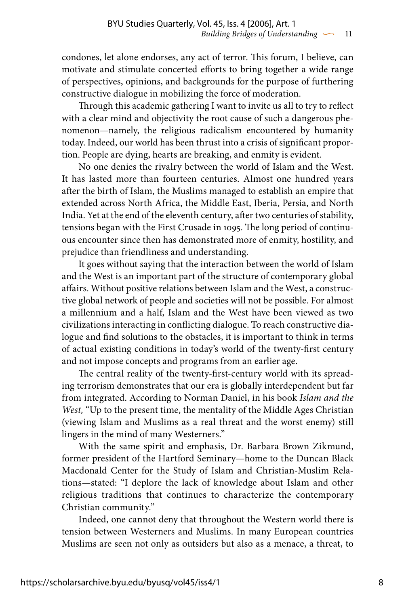condones, let alone endorses, any act of terror. This forum, I believe, can motivate and stimulate concerted efforts to bring together a wide range of perspectives, opinions, and backgrounds for the purpose of furthering constructive dialogue in mobilizing the force of moderation.

Through this academic gathering I want to invite us all to try to reflect with a clear mind and objectivity the root cause of such a dangerous phenomenon—namely, the religious radicalism encountered by humanity today. Indeed, our world has been thrust into a crisis of significant proportion. People are dying, hearts are breaking, and enmity is evident.

No one denies the rivalry between the world of Islam and the West. It has lasted more than fourteen centuries. Almost one hundred years after the birth of Islam, the Muslims managed to establish an empire that extended across North Africa, the Middle East, Iberia, Persia, and North India. Yet at the end of the eleventh century, after two centuries of stability, tensions began with the First Crusade in 1095. The long period of continuous encounter since then has demonstrated more of enmity, hostility, and prejudice than friendliness and understanding.

It goes without saying that the interaction between the world of Islam and the West is an important part of the structure of contemporary global affairs. Without positive relations between Islam and the West, a constructive global network of people and societies will not be possible. For almost a millennium and a half, Islam and the West have been viewed as two civilizations interacting in conflicting dialogue. To reach constructive dialogue and find solutions to the obstacles, it is important to think in terms of actual existing conditions in today's world of the twenty-first century and not impose concepts and programs from an earlier age.

The central reality of the twenty-first-century world with its spreading terrorism demonstrates that our era is globally interdependent but far from integrated. According to Norman Daniel, in his book *Islam and the West,* "Up to the present time, the mentality of the Middle Ages Christian (viewing Islam and Muslims as a real threat and the worst enemy) still lingers in the mind of many Westerners."

With the same spirit and emphasis, Dr. Barbara Brown Zikmund, former president of the Hartford Seminary—home to the Duncan Black Macdonald Center for the Study of Islam and Christian-Muslim Relations—stated: "I deplore the lack of knowledge about Islam and other religious traditions that continues to characterize the contemporary Christian community."

Indeed, one cannot deny that throughout the Western world there is tension between Westerners and Muslims. In many European countries Muslims are seen not only as outsiders but also as a menace, a threat, to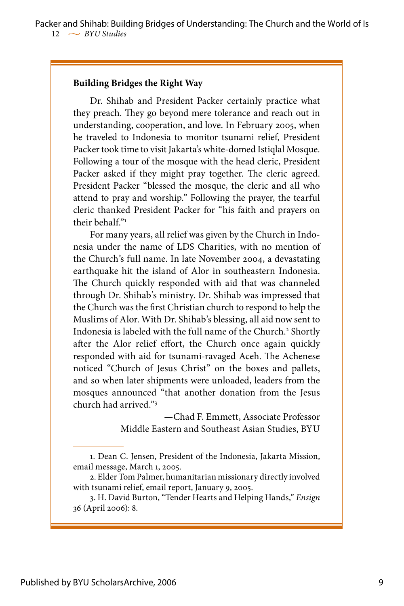#### **Building Bridges the Right Way**

Dr. Shihab and President Packer certainly practice what they preach. They go beyond mere tolerance and reach out in understanding, cooperation, and love. In February 2005, when he traveled to Indonesia to monitor tsunami relief, President Packer took time to visit Jakarta's white-domed Istiqlal Mosque. Following a tour of the mosque with the head cleric, President Packer asked if they might pray together. The cleric agreed. President Packer "blessed the mosque, the cleric and all who attend to pray and worship." Following the prayer, the tearful cleric thanked President Packer for "his faith and prayers on their behalf."1

For many years, all relief was given by the Church in Indonesia under the name of LDS Charities, with no mention of the Church's full name. In late November 2004, a devastating earthquake hit the island of Alor in southeastern Indonesia. The Church quickly responded with aid that was channeled through Dr. Shihab's ministry. Dr. Shihab was impressed that the Church was the first Christian church to respond to help the Muslims of Alor. With Dr. Shihab's blessing, all aid now sent to Indonesia is labeled with the full name of the Church.<sup>2</sup> Shortly after the Alor relief effort, the Church once again quickly responded with aid for tsunami-ravaged Aceh. The Achenese noticed "Church of Jesus Christ" on the boxes and pallets, and so when later shipments were unloaded, leaders from the mosques announced "that another donation from the Jesus church had arrived."3

> —Chad F. Emmett, Associate Professor Middle Eastern and Southeast Asian Studies, BYU

<sup>1.</sup> Dean C. Jensen, President of the Indonesia, Jakarta Mission, email message, March 1, 2005.

<sup>2.</sup> Elder Tom Palmer, humanitarian missionary directly involved with tsunami relief, email report, January 9, 2005.

<sup>3.</sup> H. David Burton, "Tender Hearts and Helping Hands," *Ensign* 36 (April 2006): 8.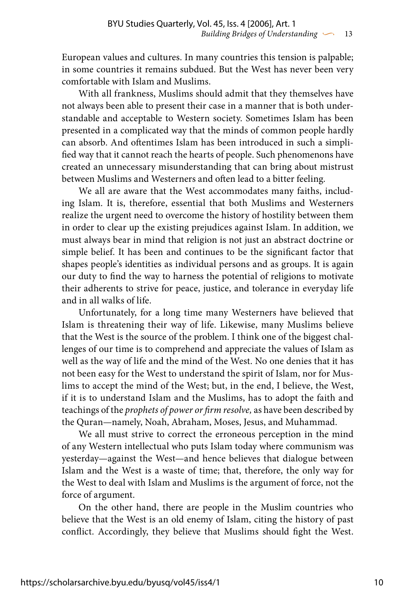European values and cultures. In many countries this tension is palpable; in some countries it remains subdued. But the West has never been very comfortable with Islam and Muslims.

With all frankness, Muslims should admit that they themselves have not always been able to present their case in a manner that is both understandable and acceptable to Western society. Sometimes Islam has been presented in a complicated way that the minds of common people hardly can absorb. And oftentimes Islam has been introduced in such a simplified way that it cannot reach the hearts of people. Such phenomenons have created an unnecessary misunderstanding that can bring about mistrust between Muslims and Westerners and often lead to a bitter feeling.

We all are aware that the West accommodates many faiths, including Islam. It is, therefore, essential that both Muslims and Westerners realize the urgent need to overcome the history of hostility between them in order to clear up the existing prejudices against Islam. In addition, we must always bear in mind that religion is not just an abstract doctrine or simple belief. It has been and continues to be the significant factor that shapes people's identities as individual persons and as groups. It is again our duty to find the way to harness the potential of religions to motivate their adherents to strive for peace, justice, and tolerance in everyday life and in all walks of life.

Unfortunately, for a long time many Westerners have believed that Islam is threatening their way of life. Likewise, many Muslims believe that the West is the source of the problem. I think one of the biggest challenges of our time is to comprehend and appreciate the values of Islam as well as the way of life and the mind of the West. No one denies that it has not been easy for the West to understand the spirit of Islam, nor for Muslims to accept the mind of the West; but, in the end, I believe, the West, if it is to understand Islam and the Muslims, has to adopt the faith and teachings of the *prophets of power or firm resolve,* as have been described by the Quran—namely, Noah, Abraham, Moses, Jesus, and Muhammad.

We all must strive to correct the erroneous perception in the mind of any Western intellectual who puts Islam today where communism was yesterday—against the West—and hence believes that dialogue between Islam and the West is a waste of time; that, therefore, the only way for the West to deal with Islam and Muslims is the argument of force, not the force of argument.

On the other hand, there are people in the Muslim countries who believe that the West is an old enemy of Islam, citing the history of past conflict. Accordingly, they believe that Muslims should fight the West.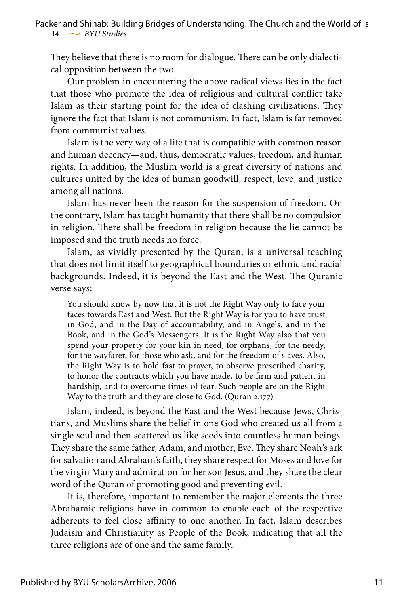They believe that there is no room for dialogue. There can be only dialectical opposition between the two.

Our problem in encountering the above radical views lies in the fact that those who promote the idea of religious and cultural conflict take Islam as their starting point for the idea of clashing civilizations. They ignore the fact that Islam is not communism. In fact, Islam is far removed from communist values.

Islam is the very way of a life that is compatible with common reason and human decency—and, thus, democratic values, freedom, and human rights. In addition, the Muslim world is a great diversity of nations and cultures united by the idea of human goodwill, respect, love, and justice among all nations.

Islam has never been the reason for the suspension of freedom. On the contrary, Islam has taught humanity that there shall be no compulsion in religion. There shall be freedom in religion because the lie cannot be imposed and the truth needs no force.

Islam, as vividly presented by the Quran, is a universal teaching that does not limit itself to geographical boundaries or ethnic and racial backgrounds. Indeed, it is beyond the East and the West. The Quranic verse says:

You should know by now that it is not the Right Way only to face your faces towards East and West. But the Right Way is for you to have trust in God, and in the Day of accountability, and in Angels, and in the Book, and in the God's Messengers. It is the Right Way also that you spend your property for your kin in need, for orphans, for the needy, for the wayfarer, for those who ask, and for the freedom of slaves. Also, the Right Way is to hold fast to prayer, to observe prescribed charity, to honor the contracts which you have made, to be firm and patient in hardship, and to overcome times of fear. Such people are on the Right Way to the truth and they are close to God. (Quran 2:177)

Islam, indeed, is beyond the East and the West because Jews, Christians, and Muslims share the belief in one God who created us all from a single soul and then scattered us like seeds into countless human beings. They share the same father, Adam, and mother, Eve. They share Noah's ark for salvation and Abraham's faith, they share respect for Moses and love for the virgin Mary and admiration for her son Jesus, and they share the clear word of the Quran of promoting good and preventing evil.

It is, therefore, important to remember the major elements the three Abrahamic religions have in common to enable each of the respective adherents to feel close affinity to one another. In fact, Islam describes Judaism and Christianity as People of the Book, indicating that all the three religions are of one and the same family.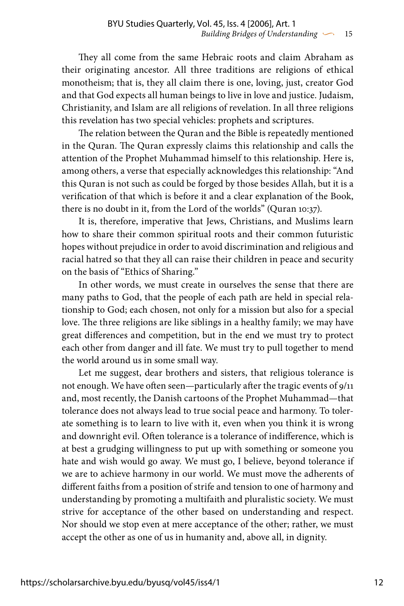They all come from the same Hebraic roots and claim Abraham as their originating ancestor. All three traditions are religions of ethical monotheism; that is, they all claim there is one, loving, just, creator God and that God expects all human beings to live in love and justice. Judaism, Christianity, and Islam are all religions of revelation. In all three religions this revelation has two special vehicles: prophets and scriptures.

The relation between the Quran and the Bible is repeatedly mentioned in the Quran. The Quran expressly claims this relationship and calls the attention of the Prophet Muhammad himself to this relationship. Here is, among others, a verse that especially acknowledges this relationship: "And this Quran is not such as could be forged by those besides Allah, but it is a verification of that which is before it and a clear explanation of the Book, there is no doubt in it, from the Lord of the worlds" (Quran 10:37).

It is, therefore, imperative that Jews, Christians, and Muslims learn how to share their common spiritual roots and their common futuristic hopes without prejudice in order to avoid discrimination and religious and racial hatred so that they all can raise their children in peace and security on the basis of "Ethics of Sharing."

In other words, we must create in ourselves the sense that there are many paths to God, that the people of each path are held in special relationship to God; each chosen, not only for a mission but also for a special love. The three religions are like siblings in a healthy family; we may have great differences and competition, but in the end we must try to protect each other from danger and ill fate. We must try to pull together to mend the world around us in some small way.

Let me suggest, dear brothers and sisters, that religious tolerance is not enough. We have often seen—particularly after the tragic events of 9/11 and, most recently, the Danish cartoons of the Prophet Muhammad—that tolerance does not always lead to true social peace and harmony. To tolerate something is to learn to live with it, even when you think it is wrong and downright evil. Often tolerance is a tolerance of indifference, which is at best a grudging willingness to put up with something or someone you hate and wish would go away. We must go, I believe, beyond tolerance if we are to achieve harmony in our world. We must move the adherents of different faiths from a position of strife and tension to one of harmony and understanding by promoting a multifaith and pluralistic society. We must strive for acceptance of the other based on understanding and respect. Nor should we stop even at mere acceptance of the other; rather, we must accept the other as one of us in humanity and, above all, in dignity.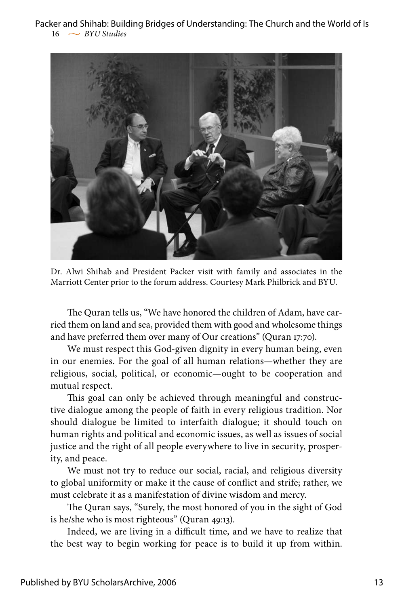$16 \sim$  *BYU Studies* Packer and Shihab: Building Bridges of Understanding: The Church and the World of Is



Dr. Alwi Shihab and President Packer visit with family and associates in the Marriott Center prior to the forum address. Courtesy Mark Philbrick and BYU.

The Quran tells us, "We have honored the children of Adam, have carried them on land and sea, provided them with good and wholesome things and have preferred them over many of Our creations" (Quran 17:70).

We must respect this God-given dignity in every human being, even in our enemies. For the goal of all human relations—whether they are religious, social, political, or economic—ought to be cooperation and mutual respect.

This goal can only be achieved through meaningful and constructive dialogue among the people of faith in every religious tradition. Nor should dialogue be limited to interfaith dialogue; it should touch on human rights and political and economic issues, as well as issues of social justice and the right of all people everywhere to live in security, prosperity, and peace.

We must not try to reduce our social, racial, and religious diversity to global uniformity or make it the cause of conflict and strife; rather, we must celebrate it as a manifestation of divine wisdom and mercy.

The Quran says, "Surely, the most honored of you in the sight of God is he/she who is most righteous" (Quran 49:13).

Indeed, we are living in a difficult time, and we have to realize that the best way to begin working for peace is to build it up from within.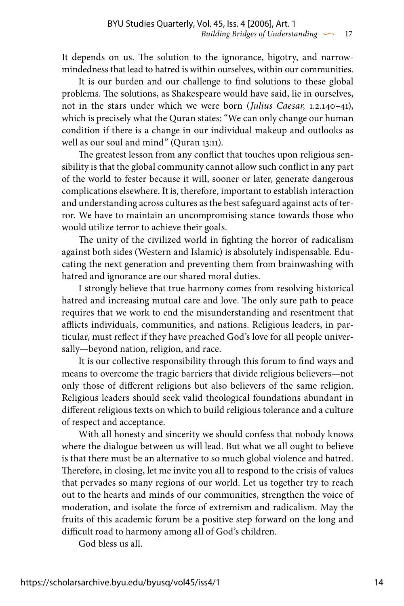It depends on us. The solution to the ignorance, bigotry, and narrowmindedness that lead to hatred is within ourselves, within our communities.

It is our burden and our challenge to find solutions to these global problems. The solutions, as Shakespeare would have said, lie in ourselves, not in the stars under which we were born (*Julius Caesar,* 1.2.140–41), which is precisely what the Quran states: "We can only change our human condition if there is a change in our individual makeup and outlooks as well as our soul and mind" (Quran 13:11).

The greatest lesson from any conflict that touches upon religious sensibility is that the global community cannot allow such conflict in any part of the world to fester because it will, sooner or later, generate dangerous complications elsewhere. It is, therefore, important to establish interaction and understanding across cultures as the best safeguard against acts of terror. We have to maintain an uncompromising stance towards those who would utilize terror to achieve their goals.

The unity of the civilized world in fighting the horror of radicalism against both sides (Western and Islamic) is absolutely indispensable. Educating the next generation and preventing them from brainwashing with hatred and ignorance are our shared moral duties.

I strongly believe that true harmony comes from resolving historical hatred and increasing mutual care and love. The only sure path to peace requires that we work to end the misunderstanding and resentment that afflicts individuals, communities, and nations. Religious leaders, in particular, must reflect if they have preached God's love for all people universally—beyond nation, religion, and race.

It is our collective responsibility through this forum to find ways and means to overcome the tragic barriers that divide religious believers—not only those of different religions but also believers of the same religion. Religious leaders should seek valid theological foundations abundant in different religious texts on which to build religious tolerance and a culture of respect and acceptance.

With all honesty and sincerity we should confess that nobody knows where the dialogue between us will lead. But what we all ought to believe is that there must be an alternative to so much global violence and hatred. Therefore, in closing, let me invite you all to respond to the crisis of values that pervades so many regions of our world. Let us together try to reach out to the hearts and minds of our communities, strengthen the voice of moderation, and isolate the force of extremism and radicalism. May the fruits of this academic forum be a positive step forward on the long and difficult road to harmony among all of God's children.

God bless us all.